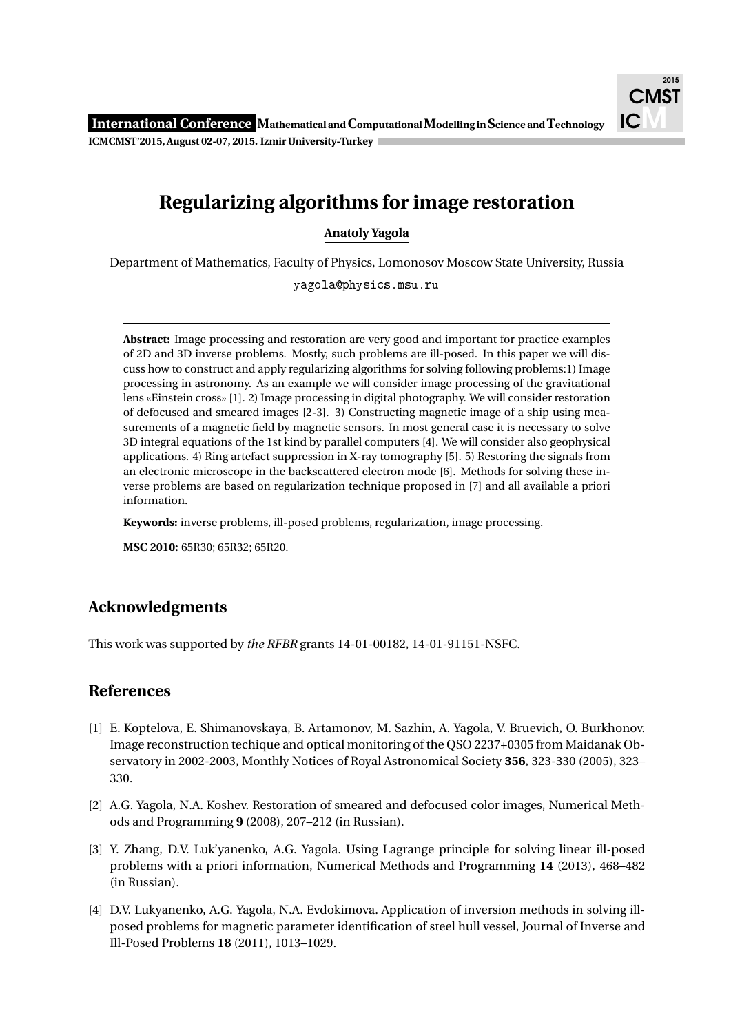## **Regularizing algorithms for image restoration**

**Anatoly Yagola**

Department of Mathematics, Faculty of Physics, Lomonosov Moscow State University, Russia

yagola@physics.msu.ru

**Abstract:** Image processing and restoration are very good and important for practice examples of 2D and 3D inverse problems. Mostly, such problems are ill-posed. In this paper we will discuss how to construct and apply regularizing algorithms for solving following problems:1) Image processing in astronomy. As an example we will consider image processing of the gravitational lens «Einstein cross» [1]. 2) Image processing in digital photography. We will consider restoration of defocused and smeared images [2-3]. 3) Constructing magnetic image of a ship using measurements of a magnetic field by magnetic sensors. In most general case it is necessary to solve 3D integral equations of the 1st kind by parallel computers [4]. We will consider also geophysical applications. 4) Ring artefact suppression in X-ray tomography [5]. 5) Restoring the signals from an electronic microscope in the backscattered electron mode [6]. Methods for solving these inverse problems are based on regularization technique proposed in [7] and all available a priori information.

**Keywords:** inverse problems, ill-posed problems, regularization, image processing.

**MSC 2010:** 65R30; 65R32; 65R20.

## **Acknowledgments**

This work was supported by *the RFBR* grants 14-01-00182, 14-01-91151-NSFC.

## **References**

- [1] E. Koptelova, E. Shimanovskaya, B. Artamonov, M. Sazhin, A. Yagola, V. Bruevich, O. Burkhonov. Image reconstruction techique and optical monitoring of the QSO 2237+0305 from Maidanak Observatory in 2002-2003, Monthly Notices of Royal Astronomical Society **356**, 323-330 (2005), 323– 330.
- [2] A.G. Yagola, N.A. Koshev. Restoration of smeared and defocused color images, Numerical Methods and Programming **9** (2008), 207–212 (in Russian).
- [3] Y. Zhang, D.V. Luk'yanenko, A.G. Yagola. Using Lagrange principle for solving linear ill-posed problems with a priori information, Numerical Methods and Programming **14** (2013), 468–482 (in Russian).
- [4] D.V. Lukyanenko, A.G. Yagola, N.A. Evdokimova. Application of inversion methods in solving illposed problems for magnetic parameter identification of steel hull vessel, Journal of Inverse and Ill-Posed Problems **18** (2011), 1013–1029.